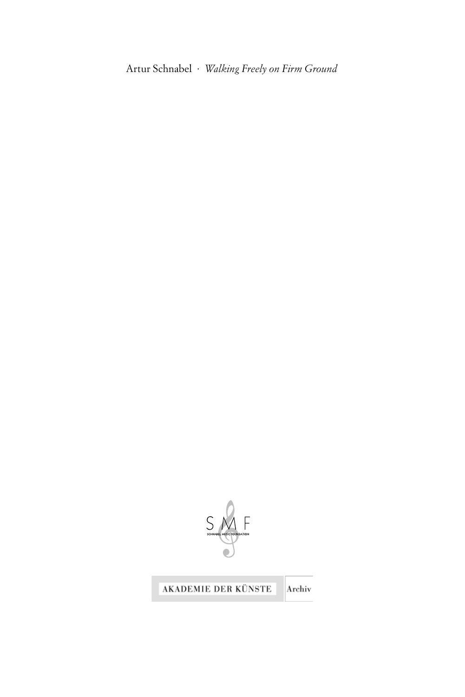Artur Schnabel · *Walking Freely on Firm Ground*



#### AKADEMIE DER KÜNSTE

Archiv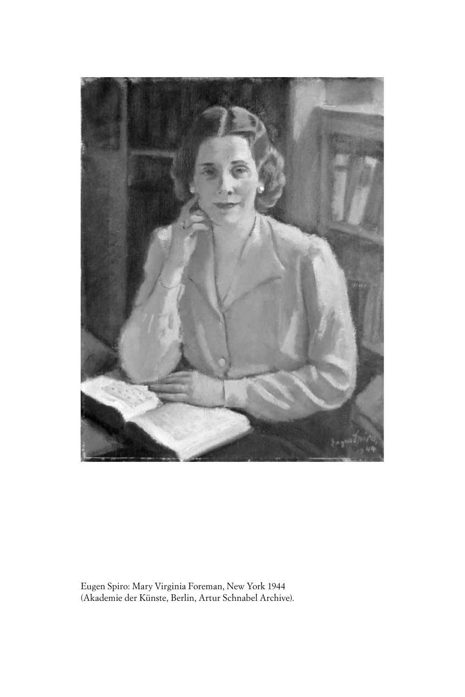

Eugen Spiro: Mary Virginia Foreman, New York 1944 (Akademie der Künste, Berlin, Artur Schnabel Archive).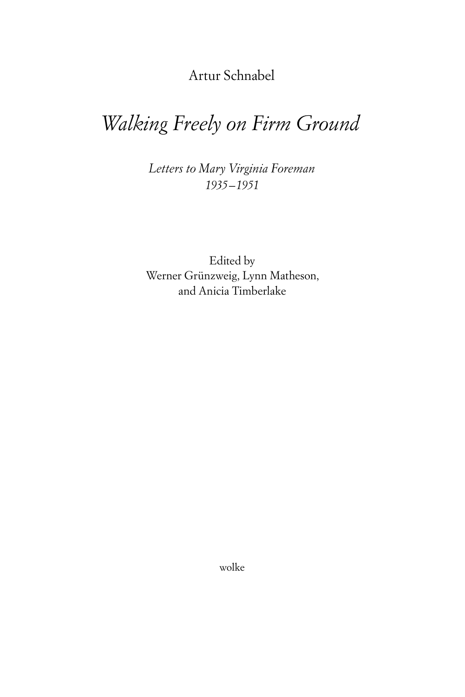Artur Schnabel

# *Walking Freely on Firm Ground*

*Letters to Mary Virginia Foreman 1935–1951*

Edited by Werner Grünzweig, Lynn Matheson, and Anicia Timberlake

wolke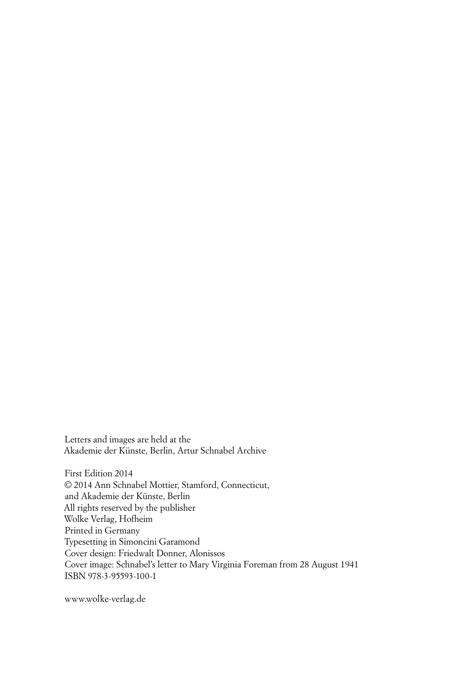Letters and images are held at the Akademie der Künste, Berlin, Artur Schnabel Archive

First Edition 2014 © 2014 Ann Schnabel Mottier, Stamford, Connecticut, and Akademie der Künste, Berlin All rights reserved by the publisher Wolke Verlag, Hofheim Printed in Germany Typesetting in Simoncini Garamond Cover design: Friedwalt Donner, Alonissos Cover image: Schnabel's letter to Mary Virginia Foreman from 28 August 1941 ISBN 978-3-95593-100-1

www.wolke-verlag.de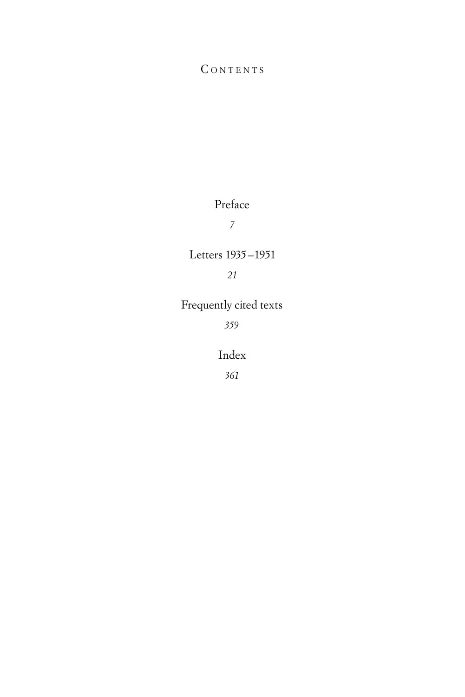## CONTENTS

## Preface

*7*

#### Letters 1935–1951

## *21*

## Frequently cited texts

*359*

### Index

*361*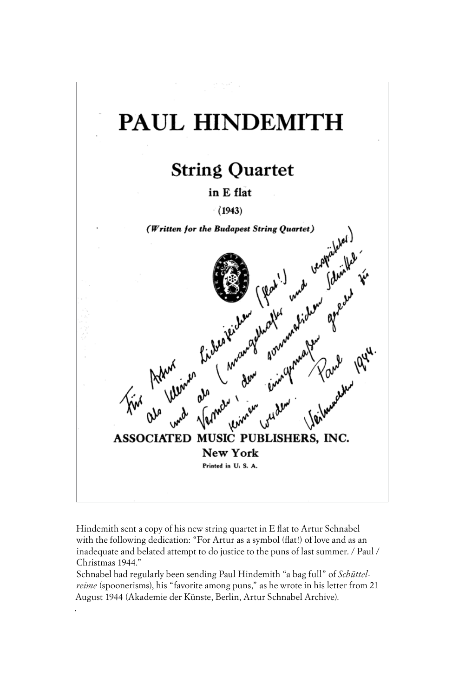

Hindemith sent a copy of his new string quartet in E flat to Artur Schnabel with the following dedication: "For Artur as a symbol (flat!) of love and as an inadequate and belated attempt to do justice to the puns of last summer. / Paul / Christmas 1944."

Schnabel had regularly been sending Paul Hindemith "a bag full" of *Schüttelreime* (spoonerisms), his "favorite among puns," as he wrote in his letter from 21 August 1944 (Akademie der Künste, Berlin, Artur Schnabel Archive).

.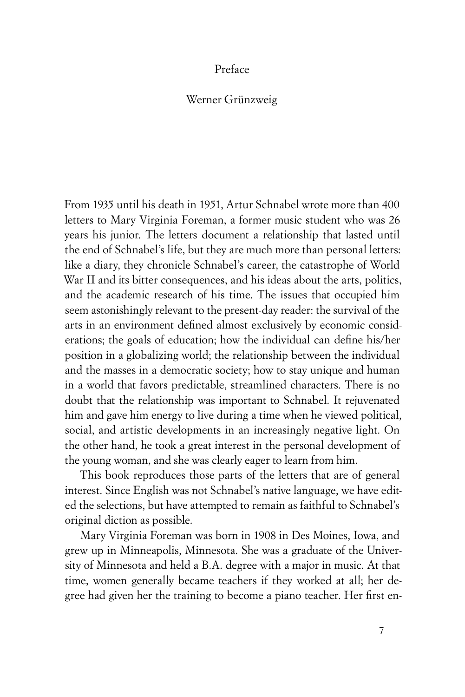#### Preface

#### Werner Grünzweig

From 1935 until his death in 1951, Artur Schnabel wrote more than 400 letters to Mary Virginia Foreman, a former music student who was 26 years his junior. The letters document a relationship that lasted until the end of Schnabel's life, but they are much more than personal letters: like a diary, they chronicle Schnabel's career, the catastrophe of World War II and its bitter consequences, and his ideas about the arts, politics, and the academic research of his time. The issues that occupied him seem astonishingly relevant to the present-day reader: the survival of the arts in an environment defined almost exclusively by economic considerations; the goals of education; how the individual can define his/her position in a globalizing world; the relationship between the individual and the masses in a democratic society; how to stay unique and human in a world that favors predictable, streamlined characters. There is no doubt that the relationship was important to Schnabel. It rejuvenated him and gave him energy to live during a time when he viewed political, social, and artistic developments in an increasingly negative light. On the other hand, he took a great interest in the personal development of the young woman, and she was clearly eager to learn from him.

This book reproduces those parts of the letters that are of general interest. Since English was not Schnabel's native language, we have edited the selections, but have attempted to remain as faithful to Schnabel's original diction as possible.

Mary Virginia Foreman was born in 1908 in Des Moines, Iowa, and grew up in Minneapolis, Minnesota. She was a graduate of the University of Minnesota and held a B.A. degree with a major in music. At that time, women generally became teachers if they worked at all; her degree had given her the training to become a piano teacher. Her first en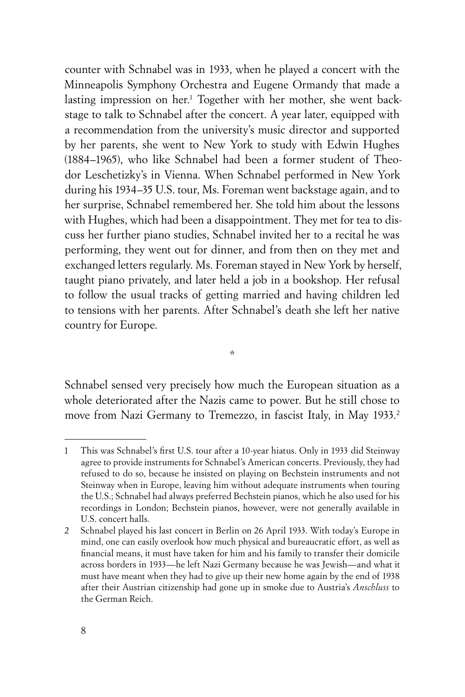counter with Schnabel was in 1933, when he played a concert with the Minneapolis Symphony Orchestra and Eugene Ormandy that made a lasting impression on her.1 Together with her mother, she went backstage to talk to Schnabel after the concert. A year later, equipped with a recommendation from the university's music director and supported by her parents, she went to New York to study with Edwin Hughes (1884–1965), who like Schnabel had been a former student of Theodor Leschetizky's in Vienna. When Schnabel performed in New York during his 1934–35 U.S. tour, Ms. Foreman went backstage again, and to her surprise, Schnabel remembered her. She told him about the lessons with Hughes, which had been a disappointment. They met for tea to discuss her further piano studies, Schnabel invited her to a recital he was performing, they went out for dinner, and from then on they met and exchanged letters regularly. Ms. Foreman stayed in New York by herself, taught piano privately, and later held a job in a bookshop. Her refusal to follow the usual tracks of getting married and having children led to tensions with her parents. After Schnabel's death she left her native country for Europe.

\*

Schnabel sensed very precisely how much the European situation as a whole deteriorated after the Nazis came to power. But he still chose to move from Nazi Germany to Tremezzo, in fascist Italy, in May 1933.<sup>2</sup>

<sup>1</sup> This was Schnabel's first U.S. tour after a 10-year hiatus. Only in 1933 did Steinway agree to provide instruments for Schnabel's American concerts. Previously, they had refused to do so, because he insisted on playing on Bechstein instruments and not Steinway when in Europe, leaving him without adequate instruments when touring the U.S.; Schnabel had always preferred Bechstein pianos, which he also used for his recordings in London; Bechstein pianos, however, were not generally available in U.S. concert halls.

<sup>2</sup> Schnabel played his last concert in Berlin on 26 April 1933. With today's Europe in mind, one can easily overlook how much physical and bureaucratic effort, as well as financial means, it must have taken for him and his family to transfer their domicile across borders in 1933—he left Nazi Germany because he was Jewish—and what it must have meant when they had to give up their new home again by the end of 1938 after their Austrian citizenship had gone up in smoke due to Austria's *Anschluss* to the German Reich.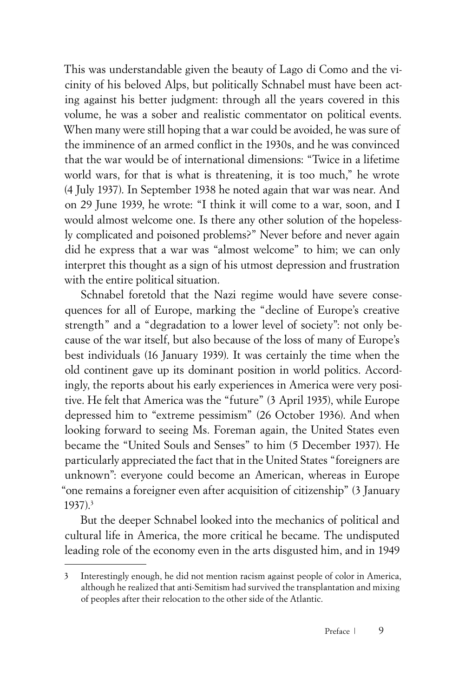This was understandable given the beauty of Lago di Como and the vicinity of his beloved Alps, but politically Schnabel must have been acting against his better judgment: through all the years covered in this volume, he was a sober and realistic commentator on political events. When many were still hoping that a war could be avoided, he was sure of the imminence of an armed conflict in the 1930s, and he was convinced that the war would be of international dimensions: "Twice in a lifetime world wars, for that is what is threatening, it is too much," he wrote (4 July 1937). In September 1938 he noted again that war was near. And on 29 June 1939, he wrote: "I think it will come to a war, soon, and I would almost welcome one. Is there any other solution of the hopelessly complicated and poisoned problems?" Never before and never again did he express that a war was "almost welcome" to him; we can only interpret this thought as a sign of his utmost depression and frustration with the entire political situation.

Schnabel foretold that the Nazi regime would have severe consequences for all of Europe, marking the "decline of Europe's creative strength" and a "degradation to a lower level of society": not only because of the war itself, but also because of the loss of many of Europe's best individuals (16 January 1939). It was certainly the time when the old continent gave up its dominant position in world politics. Accordingly, the reports about his early experiences in America were very positive. He felt that America was the "future" (3 April 1935), while Europe depressed him to "extreme pessimism" (26 October 1936). And when looking forward to seeing Ms. Foreman again, the United States even became the "United Souls and Senses" to him (5 December 1937). He particularly appreciated the fact that in the United States "foreigners are unknown": everyone could become an American, whereas in Europe "one remains a foreigner even after acquisition of citizenship" (3 January 1937).3

But the deeper Schnabel looked into the mechanics of political and cultural life in America, the more critical he became. The undisputed leading role of the economy even in the arts disgusted him, and in 1949

<sup>3</sup> Interestingly enough, he did not mention racism against people of color in America, although he realized that anti-Semitism had survived the transplantation and mixing of peoples after their relocation to the other side of the Atlantic.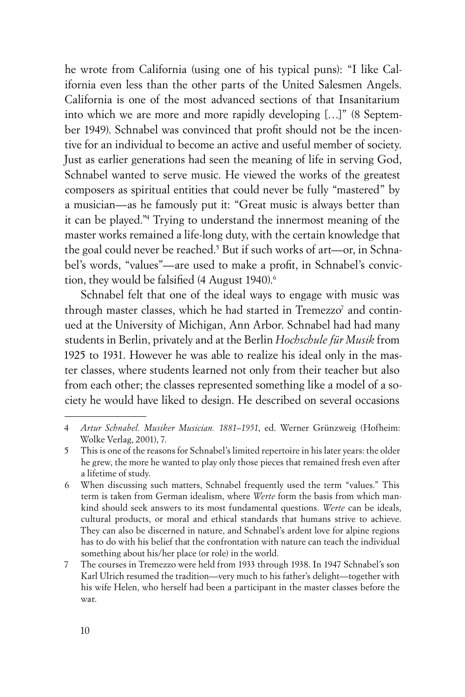he wrote from California (using one of his typical puns): "I like California even less than the other parts of the United Salesmen Angels. California is one of the most advanced sections of that Insanitarium into which we are more and more rapidly developing […]" (8 September 1949). Schnabel was convinced that profit should not be the incentive for an individual to become an active and useful member of society. Just as earlier generations had seen the meaning of life in serving God, Schnabel wanted to serve music. He viewed the works of the greatest composers as spiritual entities that could never be fully "mastered" by a musician—as he famously put it: "Great music is always better than it can be played."4 Trying to understand the innermost meaning of the master works remained a life-long duty, with the certain knowledge that the goal could never be reached.<sup>5</sup> But if such works of art—or, in Schnabel's words, "values"—are used to make a profit, in Schnabel's conviction, they would be falsified (4 August 1940).<sup>6</sup>

Schnabel felt that one of the ideal ways to engage with music was through master classes, which he had started in Tremezzo<sup>7</sup> and continued at the University of Michigan, Ann Arbor. Schnabel had had many students in Berlin, privately and at the Berlin *Hochschule für Musik* from 1925 to 1931. However he was able to realize his ideal only in the master classes, where students learned not only from their teacher but also from each other; the classes represented something like a model of a society he would have liked to design. He described on several occasions

<sup>4</sup> *Artur Schnabel. Musiker Musician. 1881–1951*, ed. Werner Grünzweig (Hofheim: Wolke Verlag, 2001), 7.

<sup>5</sup> This is one of the reasons for Schnabel's limited repertoire in his later years: the older he grew, the more he wanted to play only those pieces that remained fresh even after a lifetime of study.

<sup>6</sup> When discussing such matters, Schnabel frequently used the term "values." This term is taken from German idealism, where *Werte* form the basis from which mankind should seek answers to its most fundamental questions. *Werte* can be ideals, cultural products, or moral and ethical standards that humans strive to achieve. They can also be discerned in nature, and Schnabel's ardent love for alpine regions has to do with his belief that the confrontation with nature can teach the individual something about his/her place (or role) in the world.

<sup>7</sup> The courses in Tremezzo were held from 1933 through 1938. In 1947 Schnabel's son Karl Ulrich resumed the tradition—very much to his father's delight—together with his wife Helen, who herself had been a participant in the master classes before the war.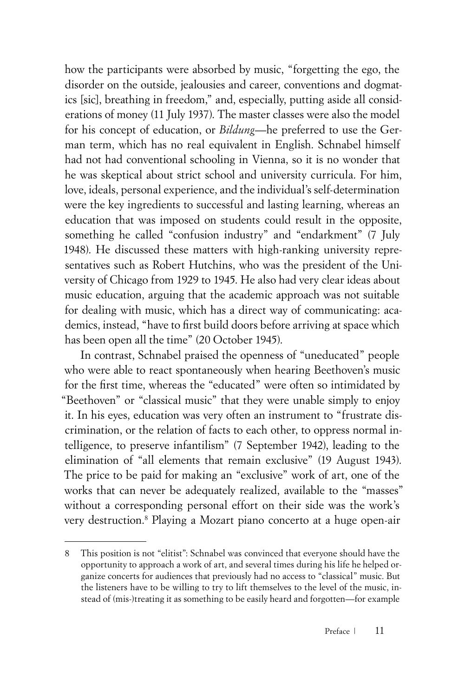how the participants were absorbed by music, "forgetting the ego, the disorder on the outside, jealousies and career, conventions and dogmatics [sic], breathing in freedom," and, especially, putting aside all considerations of money (11 July 1937). The master classes were also the model for his concept of education, or *Bildung*—he preferred to use the German term, which has no real equivalent in English. Schnabel himself had not had conventional schooling in Vienna, so it is no wonder that he was skeptical about strict school and university curricula. For him, love, ideals, personal experience, and the individual's self-determination were the key ingredients to successful and lasting learning, whereas an education that was imposed on students could result in the opposite, something he called "confusion industry" and "endarkment" (7 July 1948). He discussed these matters with high-ranking university representatives such as Robert Hutchins, who was the president of the University of Chicago from 1929 to 1945. He also had very clear ideas about music education, arguing that the academic approach was not suitable for dealing with music, which has a direct way of communicating: academics, instead, "have to first build doors before arriving at space which has been open all the time" (20 October 1945).

In contrast, Schnabel praised the openness of "uneducated" people who were able to react spontaneously when hearing Beethoven's music for the first time, whereas the "educated" were often so intimidated by "Beethoven" or "classical music" that they were unable simply to enjoy it. In his eyes, education was very often an instrument to "frustrate discrimination, or the relation of facts to each other, to oppress normal intelligence, to preserve infantilism" (7 September 1942), leading to the elimination of "all elements that remain exclusive" (19 August 1943). The price to be paid for making an "exclusive" work of art, one of the works that can never be adequately realized, available to the "masses" without a corresponding personal effort on their side was the work's very destruction.8 Playing a Mozart piano concerto at a huge open-air

<sup>8</sup> This position is not "elitist": Schnabel was convinced that everyone should have the opportunity to approach a work of art, and several times during his life he helped organize concerts for audiences that previously had no access to "classical" music. But the listeners have to be willing to try to lift themselves to the level of the music, instead of (mis-)treating it as something to be easily heard and forgotten—for example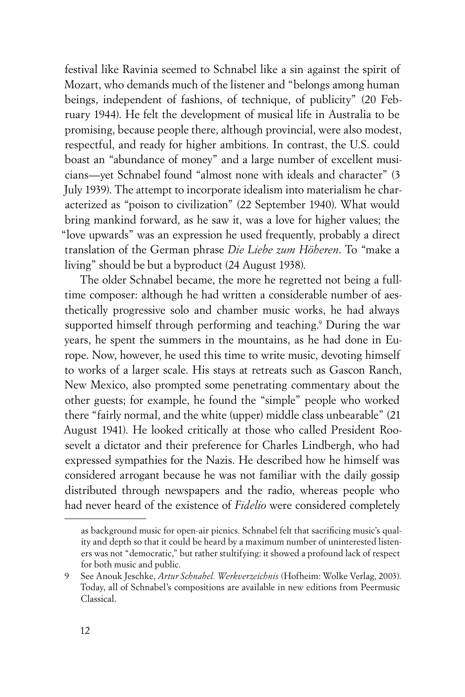festival like Ravinia seemed to Schnabel like a sin against the spirit of Mozart, who demands much of the listener and "belongs among human beings, independent of fashions, of technique, of publicity" (20 February 1944). He felt the development of musical life in Australia to be promising, because people there, although provincial, were also modest, respectful, and ready for higher ambitions. In contrast, the U.S. could boast an "abundance of money" and a large number of excellent musicians—yet Schnabel found "almost none with ideals and character" (3 July 1939). The attempt to incorporate idealism into materialism he characterized as "poison to civilization" (22 September 1940). What would bring mankind forward, as he saw it, was a love for higher values; the "love upwards" was an expression he used frequently, probably a direct translation of the German phrase *Die Liebe zum Höheren*. To "make a living" should be but a byproduct (24 August 1938).

The older Schnabel became, the more he regretted not being a fulltime composer: although he had written a considerable number of aesthetically progressive solo and chamber music works, he had always supported himself through performing and teaching.9 During the war years, he spent the summers in the mountains, as he had done in Europe. Now, however, he used this time to write music, devoting himself to works of a larger scale. His stays at retreats such as Gascon Ranch, New Mexico, also prompted some penetrating commentary about the other guests; for example, he found the "simple" people who worked there "fairly normal, and the white (upper) middle class unbearable" (21 August 1941). He looked critically at those who called President Roosevelt a dictator and their preference for Charles Lindbergh, who had expressed sympathies for the Nazis. He described how he himself was considered arrogant because he was not familiar with the daily gossip distributed through newspapers and the radio, whereas people who had never heard of the existence of *Fidelio* were considered completely

as background music for open-air picnics. Schnabel felt that sacrificing music's quality and depth so that it could be heard by a maximum number of uninterested listeners was not "democratic," but rather stultifying: it showed a profound lack of respect for both music and public.

<sup>9</sup> See Anouk Jeschke, *Artur Schnabel. Werkverzeichnis* (Hofheim: Wolke Verlag, 2003). Today, all of Schnabel's compositions are available in new editions from Peermusic Classical.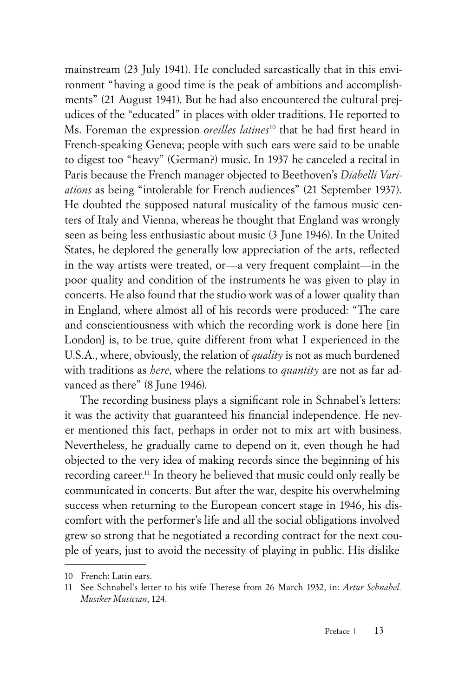mainstream (23 July 1941). He concluded sarcastically that in this environment "having a good time is the peak of ambitions and accomplishments" (21 August 1941). But he had also encountered the cultural prejudices of the "educated" in places with older traditions. He reported to Ms. Foreman the expression *oreilles latines*10 that he had first heard in French-speaking Geneva; people with such ears were said to be unable to digest too "heavy" (German?) music. In 1937 he canceled a recital in Paris because the French manager objected to Beethoven's *Diabelli Variations* as being "intolerable for French audiences" (21 September 1937). He doubted the supposed natural musicality of the famous music centers of Italy and Vienna, whereas he thought that England was wrongly seen as being less enthusiastic about music (3 June 1946). In the United States, he deplored the generally low appreciation of the arts, reflected in the way artists were treated, or—a very frequent complaint—in the poor quality and condition of the instruments he was given to play in concerts. He also found that the studio work was of a lower quality than in England, where almost all of his records were produced: "The care and conscientiousness with which the recording work is done here [in London] is, to be true, quite different from what I experienced in the U.S.A., where, obviously, the relation of *quality* is not as much burdened with traditions as *here*, where the relations to *quantity* are not as far advanced as there" (8 June 1946).

The recording business plays a significant role in Schnabel's letters: it was the activity that guaranteed his financial independence. He never mentioned this fact, perhaps in order not to mix art with business. Nevertheless, he gradually came to depend on it, even though he had objected to the very idea of making records since the beginning of his recording career.<sup>11</sup> In theory he believed that music could only really be communicated in concerts. But after the war, despite his overwhelming success when returning to the European concert stage in 1946, his discomfort with the performer's life and all the social obligations involved grew so strong that he negotiated a recording contract for the next couple of years, just to avoid the necessity of playing in public. His dislike

<sup>10</sup> French: Latin ears.

<sup>11</sup> See Schnabel's letter to his wife Therese from 26 March 1932, in: *Artur Schnabel. Musiker Musician*, 124.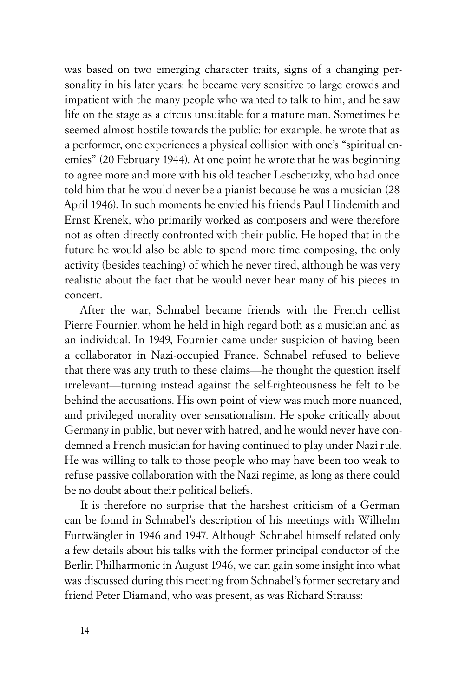was based on two emerging character traits, signs of a changing personality in his later years: he became very sensitive to large crowds and impatient with the many people who wanted to talk to him, and he saw life on the stage as a circus unsuitable for a mature man. Sometimes he seemed almost hostile towards the public: for example, he wrote that as a performer, one experiences a physical collision with one's "spiritual enemies" (20 February 1944). At one point he wrote that he was beginning to agree more and more with his old teacher Leschetizky, who had once told him that he would never be a pianist because he was a musician (28 April 1946). In such moments he envied his friends Paul Hindemith and Ernst Krenek, who primarily worked as composers and were therefore not as often directly confronted with their public. He hoped that in the future he would also be able to spend more time composing, the only activity (besides teaching) of which he never tired, although he was very realistic about the fact that he would never hear many of his pieces in concert.

After the war, Schnabel became friends with the French cellist Pierre Fournier, whom he held in high regard both as a musician and as an individual. In 1949, Fournier came under suspicion of having been a collaborator in Nazi-occupied France. Schnabel refused to believe that there was any truth to these claims—he thought the question itself irrelevant—turning instead against the self-righteousness he felt to be behind the accusations. His own point of view was much more nuanced, and privileged morality over sensationalism. He spoke critically about Germany in public, but never with hatred, and he would never have condemned a French musician for having continued to play under Nazi rule. He was willing to talk to those people who may have been too weak to refuse passive collaboration with the Nazi regime, as long as there could be no doubt about their political beliefs.

It is therefore no surprise that the harshest criticism of a German can be found in Schnabel's description of his meetings with Wilhelm Furtwängler in 1946 and 1947. Although Schnabel himself related only a few details about his talks with the former principal conductor of the Berlin Philharmonic in August 1946, we can gain some insight into what was discussed during this meeting from Schnabel's former secretary and friend Peter Diamand, who was present, as was Richard Strauss: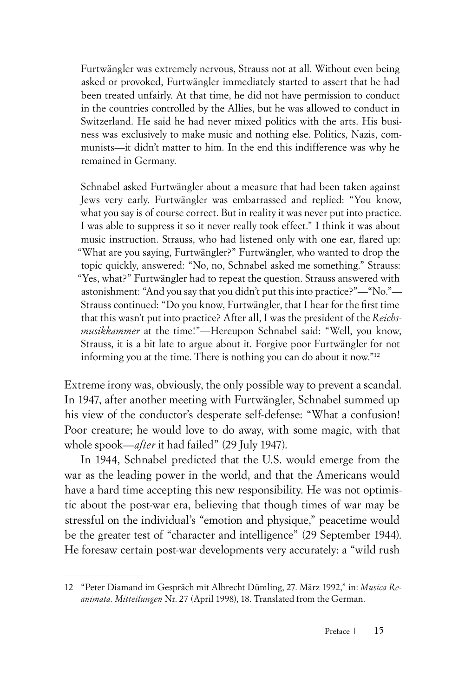Furtwängler was extremely nervous, Strauss not at all. Without even being asked or provoked, Furtwängler immediately started to assert that he had been treated unfairly. At that time, he did not have permission to conduct in the countries controlled by the Allies, but he was allowed to conduct in Switzerland. He said he had never mixed politics with the arts. His business was exclusively to make music and nothing else. Politics, Nazis, communists—it didn't matter to him. In the end this indifference was why he remained in Germany.

Schnabel asked Furtwängler about a measure that had been taken against Jews very early. Furtwängler was embarrassed and replied: "You know, what you say is of course correct. But in reality it was never put into practice. I was able to suppress it so it never really took effect." I think it was about music instruction. Strauss, who had listened only with one ear, flared up: "What are you saying, Furtwängler?" Furtwängler, who wanted to drop the topic quickly, answered: "No, no, Schnabel asked me something." Strauss: "Yes, what?" Furtwängler had to repeat the question. Strauss answered with astonishment: "And you say that you didn't put this into practice?"—"No."— Strauss continued: "Do you know, Furtwängler, that I hear for the first time that this wasn't put into practice? After all, I was the president of the *Reichsmusikkammer* at the time!"—Hereupon Schnabel said: "Well, you know, Strauss, it is a bit late to argue about it. Forgive poor Furtwängler for not informing you at the time. There is nothing you can do about it now."12

Extreme irony was, obviously, the only possible way to prevent a scandal. In 1947, after another meeting with Furtwängler, Schnabel summed up his view of the conductor's desperate self-defense: "What a confusion! Poor creature; he would love to do away, with some magic, with that whole spook—*after* it had failed" (29 July 1947).

In 1944, Schnabel predicted that the U.S. would emerge from the war as the leading power in the world, and that the Americans would have a hard time accepting this new responsibility. He was not optimistic about the post-war era, believing that though times of war may be stressful on the individual's "emotion and physique," peacetime would be the greater test of "character and intelligence" (29 September 1944). He foresaw certain post-war developments very accurately: a "wild rush

<sup>12</sup> "Peter Diamand im Gespräch mit Albrecht Dümling, 27. März 1992," in: *Musica Reanimata. Mitteilungen* Nr. 27 (April 1998), 18. Translated from the German.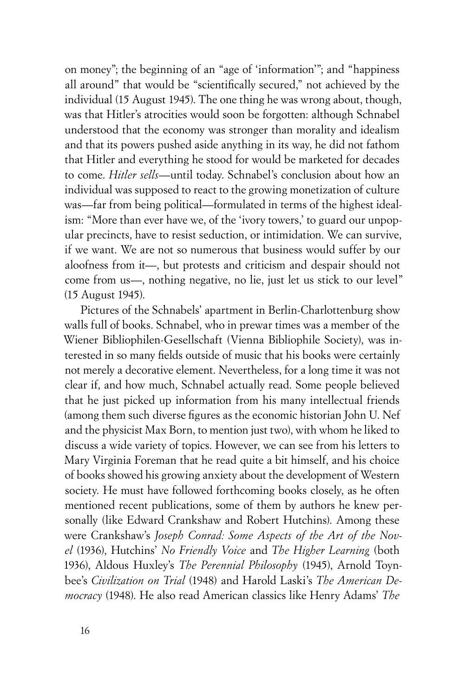on money"; the beginning of an "age of 'information'"; and "happiness all around" that would be "scientifically secured," not achieved by the individual (15 August 1945). The one thing he was wrong about, though, was that Hitler's atrocities would soon be forgotten: although Schnabel understood that the economy was stronger than morality and idealism and that its powers pushed aside anything in its way, he did not fathom that Hitler and everything he stood for would be marketed for decades to come. *Hitler sells*—until today. Schnabel's conclusion about how an individual was supposed to react to the growing monetization of culture was—far from being political—formulated in terms of the highest idealism: "More than ever have we, of the 'ivory towers,' to guard our unpopular precincts, have to resist seduction, or intimidation. We can survive, if we want. We are not so numerous that business would suffer by our aloofness from it—, but protests and criticism and despair should not come from us—, nothing negative, no lie, just let us stick to our level" (15 August 1945).

Pictures of the Schnabels' apartment in Berlin-Charlottenburg show walls full of books. Schnabel, who in prewar times was a member of the Wiener Bibliophilen-Gesellschaft (Vienna Bibliophile Society), was interested in so many fields outside of music that his books were certainly not merely a decorative element. Nevertheless, for a long time it was not clear if, and how much, Schnabel actually read. Some people believed that he just picked up information from his many intellectual friends (among them such diverse figures as the economic historian John U. Nef and the physicist Max Born, to mention just two), with whom he liked to discuss a wide variety of topics. However, we can see from his letters to Mary Virginia Foreman that he read quite a bit himself, and his choice of books showed his growing anxiety about the development of Western society. He must have followed forthcoming books closely, as he often mentioned recent publications, some of them by authors he knew personally (like Edward Crankshaw and Robert Hutchins). Among these were Crankshaw's *Joseph Conrad: Some Aspects of the Art of the Novel* (1936), Hutchins' *No Friendly Voice* and *The Higher Learning* (both 1936), Aldous Huxley's *The Perennial Philosophy* (1945), Arnold Toynbee's *Civilization on Trial* (1948) and Harold Laski's *The American Democracy* (1948). He also read American classics like Henry Adams' *The*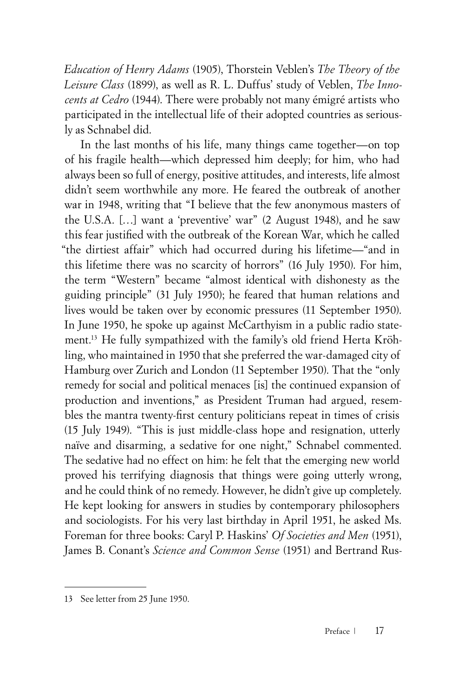*Education of Henry Adams* (1905), Thorstein Veblen's *The Theory of the Leisure Class* (1899), as well as R. L. Duffus' study of Veblen, *The Innocents at Cedro* (1944). There were probably not many émigré artists who participated in the intellectual life of their adopted countries as seriously as Schnabel did.

In the last months of his life, many things came together—on top of his fragile health—which depressed him deeply; for him, who had always been so full of energy, positive attitudes, and interests, life almost didn't seem worthwhile any more. He feared the outbreak of another war in 1948, writing that "I believe that the few anonymous masters of the U.S.A. […] want a 'preventive' war" (2 August 1948), and he saw this fear justified with the outbreak of the Korean War, which he called "the dirtiest affair" which had occurred during his lifetime—"and in this lifetime there was no scarcity of horrors" (16 July 1950). For him, the term "Western" became "almost identical with dishonesty as the guiding principle" (31 July 1950); he feared that human relations and lives would be taken over by economic pressures (11 September 1950). In June 1950, he spoke up against McCarthyism in a public radio statement.13 He fully sympathized with the family's old friend Herta Kröhling, who maintained in 1950 that she preferred the war-damaged city of Hamburg over Zurich and London (11 September 1950). That the "only remedy for social and political menaces [is] the continued expansion of production and inventions," as President Truman had argued, resembles the mantra twenty-first century politicians repeat in times of crisis (15 July 1949). "This is just middle-class hope and resignation, utterly naïve and disarming, a sedative for one night," Schnabel commented. The sedative had no effect on him: he felt that the emerging new world proved his terrifying diagnosis that things were going utterly wrong, and he could think of no remedy. However, he didn't give up completely. He kept looking for answers in studies by contemporary philosophers and sociologists. For his very last birthday in April 1951, he asked Ms. Foreman for three books: Caryl P. Haskins' *Of Societies and Men* (1951), James B. Conant's *Science and Common Sense* (1951) and Bertrand Rus-

<sup>13</sup> See letter from 25 June 1950.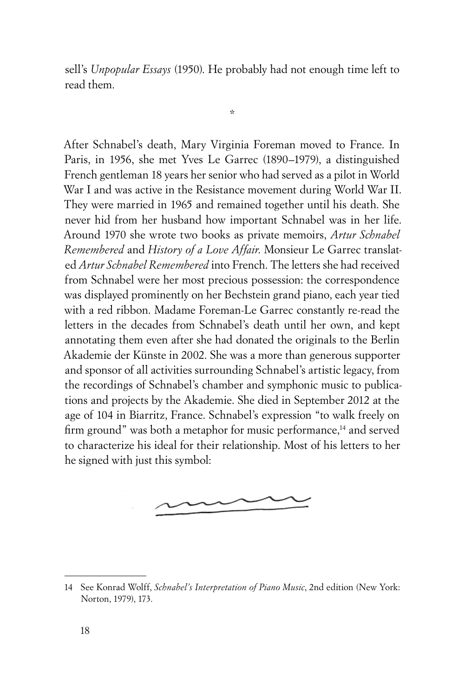sell's *Unpopular Essays* (1950). He probably had not enough time left to read them.

\*

After Schnabel's death, Mary Virginia Foreman moved to France. In Paris, in 1956, she met Yves Le Garrec (1890–1979), a distinguished French gentleman 18 years her senior who had served as a pilot in World War I and was active in the Resistance movement during World War II. They were married in 1965 and remained together until his death. She never hid from her husband how important Schnabel was in her life. Around 1970 she wrote two books as private memoirs, *Artur Schnabel Remembered* and *History of a Love Affair*. Monsieur Le Garrec translated *Artur Schnabel Remembered* into French. The letters she had received from Schnabel were her most precious possession: the correspondence was displayed prominently on her Bechstein grand piano, each year tied with a red ribbon. Madame Foreman-Le Garrec constantly re-read the letters in the decades from Schnabel's death until her own, and kept annotating them even after she had donated the originals to the Berlin Akademie der Künste in 2002. She was a more than generous supporter and sponsor of all activities surrounding Schnabel's artistic legacy, from the recordings of Schnabel's chamber and symphonic music to publications and projects by the Akademie. She died in September 2012 at the age of 104 in Biarritz, France. Schnabel's expression "to walk freely on firm ground" was both a metaphor for music performance,<sup>14</sup> and served to characterize his ideal for their relationship. Most of his letters to her he signed with just this symbol:



<sup>14</sup> See Konrad Wolff, *Schnabel's Interpretation of Piano Music*, 2nd edition (New York: Norton, 1979), 173.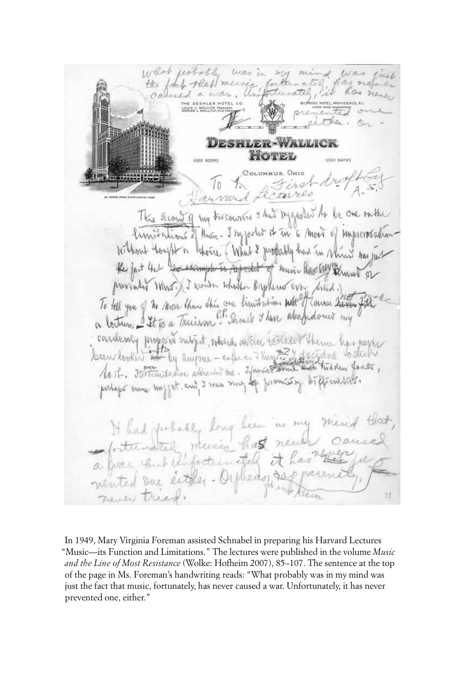roboble livas in  $20714$  $214.1$ the foot that mees colined a war LOUIS C WALLICH **DESHLER-WALLICK** HOTEL 1000 ROOMS IDDO BATHS drofter rterres Jarvar This record of my trocourses & hus injected to be one on the Similations of Music - I say jorder it in a moor of improveredium Without hanght in those (Whit & probably had in which was just the fact that government to proported of music have held thused on provended Wars. (I wonder what Daplered ever trad.) cardesaly proposed subject, solvich as an isolated them has never Seem looker at by huyour-cape a things 24 decided watch No. To this test interestion along the was sing of promising to fit out tools. It had probably long been in my mend that, fortunately music has never a war , but Unfortunitely it has nented one either-Orphers, sappare

In 1949, Mary Virginia Foreman assisted Schnabel in preparing his Harvard Lectures "Music—its Function and Limitations." The lectures were published in the volume *Music and the Line of Most Resistance* (Wolke: Hofheim 2007), 85–107. The sentence at the top of the page in Ms. Foreman's handwriting reads: "What probably was in my mind was just the fact that music, fortunately, has never caused a war. Unfortunately, it has never prevented one, either."